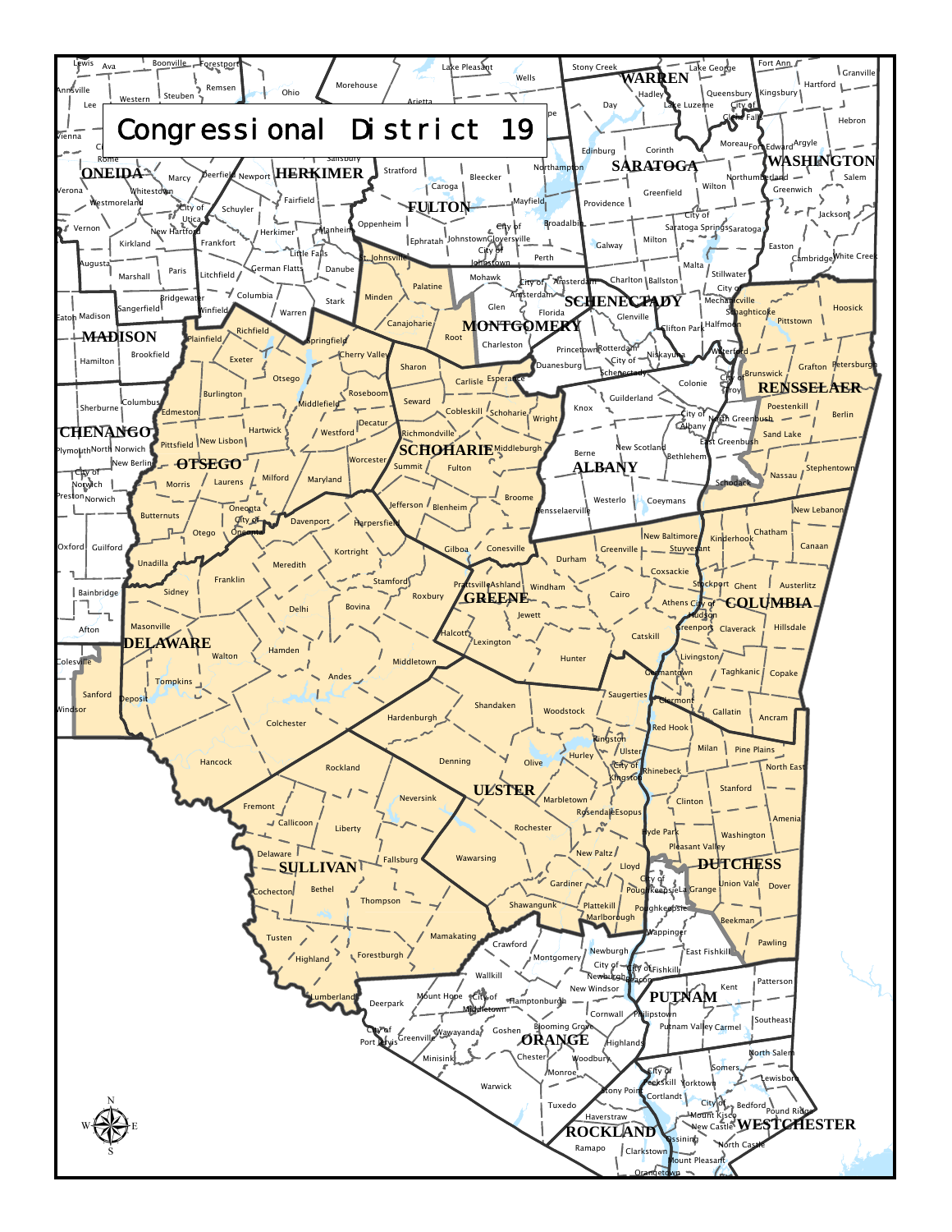